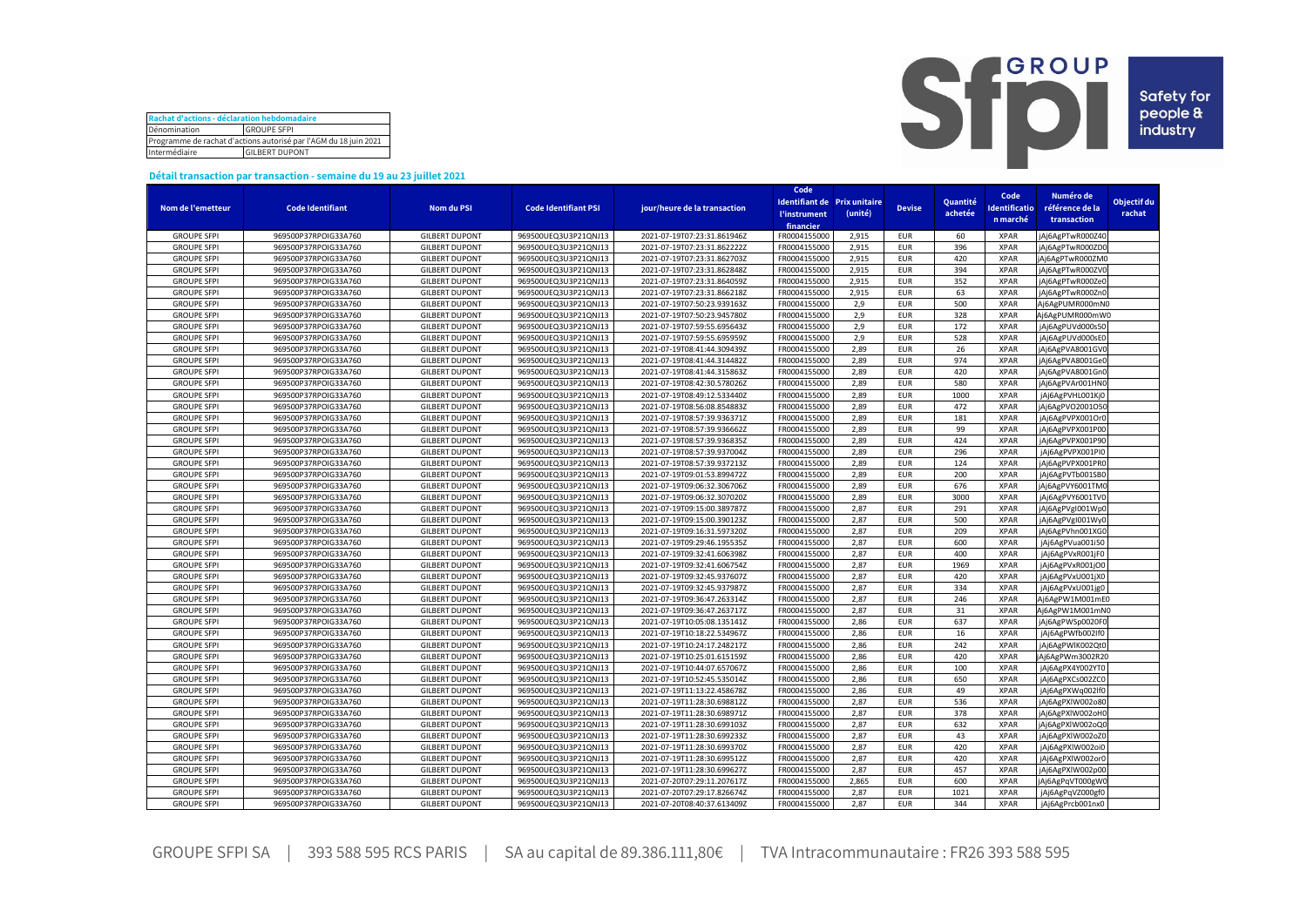| Rachat d'actions - déclaration hebdomadaire                      |  |  |  |  |  |  |  |
|------------------------------------------------------------------|--|--|--|--|--|--|--|
| Dénomination<br><b>GROUPE SFPI</b>                               |  |  |  |  |  |  |  |
| Programme de rachat d'actions autorisé par l'AGM du 18 juin 2021 |  |  |  |  |  |  |  |
| Intermédiaire<br><b>GILBERT DUPONT</b>                           |  |  |  |  |  |  |  |



## **Détail transaction par transaction - semaine du 19 au 23 juillet 2021**

|                                          |                         |                       |                             |                              | Code                              |         |               |          |                      |                  |             |
|------------------------------------------|-------------------------|-----------------------|-----------------------------|------------------------------|-----------------------------------|---------|---------------|----------|----------------------|------------------|-------------|
|                                          |                         |                       |                             |                              | Identifiant de Prix unitaire      |         |               | Quantité | Code                 | Numéro de        | Objectif du |
| Nom de l'emetteur                        | <b>Code Identifiant</b> | <b>Nom du PSI</b>     | <b>Code Identifiant PSI</b> | jour/heure de la transaction | <b><i><u>l'instrument</u></i></b> | (unité) | <b>Devise</b> | achetée  | <b>Identificatio</b> | référence de la  | rachat      |
|                                          |                         |                       |                             |                              | financier                         |         |               |          | n marché             | transaction      |             |
| <b>GROUPE SFPI</b>                       | 969500P37RPOIG33A760    | <b>GILBERT DUPONT</b> | 969500UEQ3U3P21QNJ13        | 2021-07-19T07:23:31.861946Z  | FR0004155000                      | 2,915   | <b>EUR</b>    | 60       | <b>XPAR</b>          | jAj6AgPTwR000Z40 |             |
| <b>GROUPE SFPI</b>                       | 969500P37RPOIG33A760    | <b>GILBERT DUPONT</b> | 969500UEQ3U3P21QNJ13        | 2021-07-19T07:23:31.862222Z  | FR0004155000                      | 2,915   | <b>EUR</b>    | 396      | <b>XPAR</b>          | jAj6AgPTwR000ZD0 |             |
| <b>GROUPE SFPI</b>                       | 969500P37RPOIG33A760    | <b>GILBERT DUPONT</b> | 969500UEQ3U3P21QNJ13        | 2021-07-19T07:23:31.862703Z  | FR0004155000                      | 2.915   | <b>EUR</b>    | 420      | <b>XPAR</b>          | jAj6AgPTwR000ZM0 |             |
| <b>GROUPE SFPI</b>                       | 969500P37RPOIG33A760    | <b>GILBERT DUPONT</b> | 969500UEQ3U3P21QNJ13        | 2021-07-19T07:23:31.862848Z  | FR0004155000                      | 2,915   | <b>EUR</b>    | 394      | <b>XPAR</b>          | jAj6AgPTwR000ZVC |             |
| <b>GROUPE SFPI</b>                       | 969500P37RPOIG33A760    | <b>GILBERT DUPONT</b> | 969500UEQ3U3P21QNJ13        | 2021-07-19T07:23:31.864059Z  | FR0004155000                      | 2,915   | <b>EUR</b>    | 352      | <b>XPAR</b>          | jAj6AgPTwR000Ze0 |             |
| <b>GROUPE SFPI</b>                       | 969500P37RPOIG33A760    | <b>GILBERT DUPONT</b> | 969500UEQ3U3P21QNJ13        | 2021-07-19T07:23:31.866218Z  | FR0004155000                      | 2.915   | <b>EUR</b>    | 63       | <b>XPAR</b>          | jAj6AgPTwR000Zn0 |             |
| <b>GROUPE SFPI</b>                       | 969500P37RPOIG33A760    | <b>GILBERT DUPONT</b> | 969500UEQ3U3P21QNJ13        | 2021-07-19T07:50:23.939163Z  | FR0004155000                      | 2,9     | <b>EUR</b>    | 500      | <b>XPAR</b>          | Aj6AgPUMR000mN0  |             |
| <b>GROUPE SFPI</b>                       | 969500P37RPOIG33A760    | <b>GILBERT DUPONT</b> | 969500UEQ3U3P21QNJ13        | 2021-07-19T07:50:23.945780Z  | FR0004155000                      | 2,9     | <b>EUR</b>    | 328      | <b>XPAR</b>          | Aj6AgPUMR000mW0  |             |
| <b>GROUPE SFPI</b>                       | 969500P37RPOIG33A760    | <b>GILBERT DUPONT</b> | 969500UEQ3U3P21QNJ13        | 2021-07-19T07:59:55.695643Z  | FR0004155000                      | 2,9     | <b>EUR</b>    | 172      | <b>XPAR</b>          | jAj6AgPUVd000s50 |             |
| <b>GROUPE SFPI</b>                       | 969500P37RPOIG33A760    | <b>GILBERT DUPONT</b> | 969500UEQ3U3P21QNJ13        | 2021-07-19T07:59:55.695959Z  | FR0004155000                      | 2,9     | <b>EUR</b>    | 528      | <b>XPAR</b>          | jAj6AgPUVd000sE0 |             |
| <b>GROUPE SFPI</b>                       | 969500P37RPOIG33A760    | <b>GILBERT DUPONT</b> | 969500UEQ3U3P21QNJ13        | 2021-07-19T08:41:44.309439Z  | FR0004155000                      | 2,89    | <b>EUR</b>    | 26       | <b>XPAR</b>          | jAj6AgPVA8001GVC |             |
| <b>GROUPE SFPI</b>                       | 969500P37RPOIG33A760    | <b>GILBERT DUPONT</b> | 969500UEQ3U3P21QNJ13        | 2021-07-19T08:41:44.314482Z  | FR0004155000                      | 2.89    | <b>EUR</b>    | 974      | <b>XPAR</b>          | jAj6AgPVA8001GeC |             |
| <b>GROUPE SFPI</b>                       | 969500P37RPOIG33A760    | <b>GILBERT DUPONT</b> | 969500UEQ3U3P21QNJ13        | 2021-07-19T08:41:44.315863Z  | FR0004155000                      | 2,89    | <b>EUR</b>    | 420      | <b>XPAR</b>          | jAj6AgPVA8001Gn0 |             |
|                                          |                         |                       | 969500UEQ3U3P21QNJ13        | 2021-07-19T08:42:30.578026Z  | FR0004155000                      | 2.89    | <b>EUR</b>    | 580      | <b>XPAR</b>          |                  |             |
| <b>GROUPE SFPI</b><br><b>GROUPE SFPI</b> | 969500P37RPOIG33A760    | <b>GILBERT DUPONT</b> |                             |                              |                                   |         | <b>EUR</b>    |          | <b>XPAR</b>          | jAj6AgPVAr001HN0 |             |
|                                          | 969500P37RPOIG33A760    | <b>GILBERT DUPONT</b> | 969500UEQ3U3P21QNJ13        | 2021-07-19T08:49:12.533440Z  | FR0004155000                      | 2,89    |               | 1000     |                      | jAj6AgPVHL001Kj0 |             |
| <b>GROUPE SFPI</b>                       | 969500P37RPOIG33A760    | <b>GILBERT DUPONT</b> | 969500UEQ3U3P21QNJ13        | 2021-07-19T08:56:08.854883Z  | FR0004155000                      | 2.89    | <b>EUR</b>    | 472      | <b>XPAR</b>          | jAj6AgPVO2001O5( |             |
| <b>GROUPE SFPI</b>                       | 969500P37RPOIG33A760    | <b>GILBERT DUPONT</b> | 969500UEQ3U3P21QNJ13        | 2021-07-19T08:57:39.936371Z  | FR0004155000                      | 2,89    | <b>EUR</b>    | 181      | <b>XPAR</b>          | jAj6AgPVPX001Or0 |             |
| <b>GROUPE SFPI</b>                       | 969500P37RPOIG33A760    | <b>GILBERT DUPONT</b> | 969500UEQ3U3P21QNJ13        | 2021-07-19T08:57:39.936662Z  | FR0004155000                      | 2,89    | <b>EUR</b>    | 99       | <b>XPAR</b>          | jAj6AgPVPX001P00 |             |
| <b>GROUPE SFPI</b>                       | 969500P37RPOIG33A760    | <b>GILBERT DUPONT</b> | 969500UEQ3U3P21QNJ13        | 2021-07-19T08:57:39.936835Z  | FR0004155000                      | 2,89    | <b>EUR</b>    | 424      | <b>XPAR</b>          | jAj6AgPVPX001P90 |             |
| <b>GROUPE SFPI</b>                       | 969500P37RPOIG33A760    | <b>GILBERT DUPONT</b> | 969500UEQ3U3P21QNJ13        | 2021-07-19T08:57:39.937004Z  | FR0004155000                      | 2,89    | <b>EUR</b>    | 296      | <b>XPAR</b>          | jAj6AgPVPX001PI0 |             |
| <b>GROUPE SFPI</b>                       | 969500P37RPOIG33A760    | <b>GILBERT DUPONT</b> | 969500UEQ3U3P21QNJ13        | 2021-07-19T08:57:39.937213Z  | FR0004155000                      | 2,89    | <b>EUR</b>    | 124      | <b>XPAR</b>          | jAj6AgPVPX001PR0 |             |
| <b>GROUPE SFPI</b>                       | 969500P37RPOIG33A760    | <b>GILBERT DUPONT</b> | 969500UEQ3U3P21QNJ13        | 2021-07-19T09:01:53.899472Z  | FR0004155000                      | 2,89    | <b>EUR</b>    | 200      | <b>XPAR</b>          | jAj6AgPVTb001SB0 |             |
| <b>GROUPE SFPI</b>                       | 969500P37RPOIG33A760    | <b>GILBERT DUPONT</b> | 969500UEQ3U3P21QNJ13        | 2021-07-19T09:06:32.306706Z  | FR0004155000                      | 2.89    | <b>FUR</b>    | 676      | <b>XPAR</b>          | iAi6AgPVY6001TMC |             |
| <b>GROUPE SFPI</b>                       | 969500P37RPOIG33A760    | <b>GILBERT DUPONT</b> | 969500UEQ3U3P21QNJ13        | 2021-07-19T09:06:32.307020Z  | FR0004155000                      | 2,89    | <b>EUR</b>    | 3000     | <b>XPAR</b>          | jAj6AgPVY6001TV0 |             |
| <b>GROUPE SFPI</b>                       | 969500P37RPOIG33A760    | <b>GILBERT DUPONT</b> | 969500UEQ3U3P21QNJ13        | 2021-07-19T09:15:00.389787Z  | FR0004155000                      | 2,87    | <b>EUR</b>    | 291      | <b>XPAR</b>          | jAj6AgPVgI001Wp0 |             |
| <b>GROUPE SFPI</b>                       | 969500P37RPOIG33A760    | <b>GILBERT DUPONT</b> | 969500UEQ3U3P21QNJ13        | 2021-07-19T09:15:00.390123Z  | FR0004155000                      | 2,87    | <b>EUR</b>    | 500      | <b>XPAR</b>          | jAj6AgPVgI001Wy0 |             |
| <b>GROUPE SFPI</b>                       | 969500P37RPOIG33A760    | <b>GILBERT DUPONT</b> | 969500UEQ3U3P21QNJ13        | 2021-07-19T09:16:31.597320Z  | FR0004155000                      | 2,87    | <b>EUR</b>    | 209      | <b>XPAR</b>          | jAj6AgPVhn001XG0 |             |
| <b>GROUPE SFPI</b>                       | 969500P37RPOIG33A760    | <b>GILBERT DUPONT</b> | 969500UEQ3U3P21QNJ13        | 2021-07-19T09:29:46.195535Z  | FR0004155000                      | 2,87    | <b>EUR</b>    | 600      | <b>XPAR</b>          | jAj6AgPVua001i50 |             |
| <b>GROUPE SFPI</b>                       | 969500P37RPOIG33A760    | <b>GILBERT DUPONT</b> | 969500UEQ3U3P21QNJ13        | 2021-07-19T09:32:41.606398Z  | FR0004155000                      | 2,87    | <b>EUR</b>    | 400      | <b>XPAR</b>          | jAj6AgPVxR001jF0 |             |
| <b>GROUPE SFPI</b>                       | 969500P37RPOIG33A760    | <b>GILBERT DUPONT</b> | 969500UEQ3U3P21QNJ13        | 2021-07-19T09:32:41.606754Z  | FR0004155000                      | 2,87    | <b>EUR</b>    | 1969     | <b>XPAR</b>          | jAj6AgPVxR001jO0 |             |
| <b>GROUPE SFPI</b>                       | 969500P37RPOIG33A760    | <b>GILBERT DUPONT</b> | 969500UEQ3U3P21QNJ13        | 2021-07-19T09:32:45.937607Z  | FR0004155000                      | 2,87    | <b>EUR</b>    | 420      | <b>XPAR</b>          | jAj6AgPVxU001jX0 |             |
| <b>GROUPE SFPI</b>                       | 969500P37RPOIG33A760    | <b>GILBERT DUPONT</b> | 969500UEQ3U3P21QNJ13        | 2021-07-19T09:32:45.937987Z  | FR0004155000                      | 2,87    | <b>EUR</b>    | 334      | <b>XPAR</b>          | jAj6AgPVxU001jg0 |             |
| <b>GROUPE SFPI</b>                       | 969500P37RPOIG33A760    | <b>GILBERT DUPONT</b> | 969500UEQ3U3P21QNJ13        | 2021-07-19T09:36:47.263314Z  | FR0004155000                      | 2,87    | <b>EUR</b>    | 246      | <b>XPAR</b>          | Aj6AgPW1M001mE0  |             |
| <b>GROUPE SFPI</b>                       | 969500P37RPOIG33A760    | <b>GILBERT DUPONT</b> | 969500UEQ3U3P21QNJ13        | 2021-07-19T09:36:47.263717Z  | FR0004155000                      | 2,87    | <b>EUR</b>    | 31       | <b>XPAR</b>          | Aj6AgPW1M001mN0  |             |
| <b>GROUPE SFPI</b>                       | 969500P37RPOIG33A760    | <b>GILBERT DUPONT</b> | 969500UEQ3U3P21QNJ13        | 2021-07-19T10:05:08.135141Z  | FR0004155000                      | 2,86    | <b>EUR</b>    | 637      | <b>XPAR</b>          | jAj6AgPWSp0020FC |             |
| <b>GROUPE SFPI</b>                       | 969500P37RPOIG33A760    | <b>GILBERT DUPONT</b> | 969500UEQ3U3P21QNJ13        | 2021-07-19T10:18:22.534967Z  | FR0004155000                      | 2,86    | <b>EUR</b>    | 16       | <b>XPAR</b>          | jAj6AgPWfb002If0 |             |
| <b>GROUPE SFPI</b>                       | 969500P37RPOIG33A760    | <b>GILBERT DUPONT</b> | 969500UEQ3U3P21QNJ13        | 2021-07-19T10:24:17.248217Z  | FR0004155000                      | 2,86    | <b>EUR</b>    | 242      | <b>XPAR</b>          | jAj6AgPWlK002Qt0 |             |
| <b>GROUPE SFPI</b>                       | 969500P37RPOIG33A760    | <b>GILBERT DUPONT</b> | 969500UEQ3U3P21QNJ13        | 2021-07-19T10:25:01.615159Z  | FR0004155000                      | 2,86    | <b>EUR</b>    | 420      | <b>XPAR</b>          | jAj6AgPWm3002R20 |             |
| <b>GROUPE SFPI</b>                       | 969500P37RPOIG33A760    | <b>GILBERT DUPONT</b> | 969500UEQ3U3P21QNJ13        | 2021-07-19T10:44:07.657067Z  | FR0004155000                      | 2,86    | <b>EUR</b>    | 100      | <b>XPAR</b>          | jAj6AgPX4Y002YT0 |             |
| <b>GROUPE SFPI</b>                       | 969500P37RPOIG33A760    | <b>GILBERT DUPONT</b> | 969500UEQ3U3P21QNJ13        | 2021-07-19T10:52:45.535014Z  | FR0004155000                      | 2,86    | <b>EUR</b>    | 650      | <b>XPAR</b>          | jAj6AgPXCs002ZC0 |             |
| <b>GROUPE SFPI</b>                       | 969500P37RPOIG33A760    | <b>GILBERT DUPONT</b> | 969500UEQ3U3P21QNJ13        | 2021-07-19T11:13:22.458678Z  | FR0004155000                      | 2,86    | <b>EUR</b>    | 49       | <b>XPAR</b>          | jAj6AgPXWq002lfC |             |
| <b>GROUPE SFPI</b>                       | 969500P37RPOIG33A760    | <b>GILBERT DUPONT</b> | 969500UEQ3U3P21QNJ13        | 2021-07-19T11:28:30.698812Z  | FR0004155000                      | 2,87    | <b>EUR</b>    | 536      | <b>XPAR</b>          | jAj6AgPXlW002o80 |             |
| <b>GROUPE SFPI</b>                       | 969500P37RPOIG33A760    | <b>GILBERT DUPONT</b> | 969500UEQ3U3P21QNJ13        | 2021-07-19T11:28:30.698971Z  | FR0004155000                      | 2,87    | <b>EUR</b>    | 378      | <b>XPAR</b>          | jAj6AgPXlW002oH0 |             |
| <b>GROUPE SFPI</b>                       |                         |                       |                             |                              | FR0004155000                      | 2,87    | <b>EUR</b>    | 632      | <b>XPAR</b>          |                  |             |
|                                          | 969500P37RPOIG33A760    | <b>GILBERT DUPONT</b> | 969500UEQ3U3P21QNJ13        | 2021-07-19T11:28:30.699103Z  | FR0004155000                      | 2,87    | <b>EUR</b>    | 43       | <b>XPAR</b>          | jAj6AgPXIW002oQ0 |             |
| <b>GROUPE SFPI</b>                       | 969500P37RPOIG33A760    | <b>GILBERT DUPONT</b> | 969500UEQ3U3P21QNJ13        | 2021-07-19T11:28:30.699233Z  |                                   |         |               |          |                      | jAj6AgPXlW002oZ0 |             |
| <b>GROUPE SFPI</b>                       | 969500P37RPOIG33A760    | <b>GILBERT DUPONT</b> | 969500UEQ3U3P21QNJ13        | 2021-07-19T11:28:30.699370Z  | FR0004155000                      | 2,87    | <b>EUR</b>    | 420      | <b>XPAR</b>          | jAj6AgPXIW002oi0 |             |
| <b>GROUPE SFPI</b>                       | 969500P37RPOIG33A760    | <b>GILBERT DUPONT</b> | 969500UEQ3U3P21QNJ13        | 2021-07-19T11:28:30.699512Z  | FR0004155000                      | 2,87    | <b>EUR</b>    | 420      | <b>XPAR</b>          | jAj6AgPXIW002or0 |             |
| <b>GROUPE SFPI</b>                       | 969500P37RPOIG33A760    | <b>GILBERT DUPONT</b> | 969500UEQ3U3P21QNJ13        | 2021-07-19T11:28:30.699627Z  | FR0004155000                      | 2,87    | <b>EUR</b>    | 457      | <b>XPAR</b>          | jAj6AgPXlW002p00 |             |
| <b>GROUPE SFP</b>                        | 969500P37RPOIG33A760    | <b>GILBERT DUPONT</b> | 969500UEQ3U3P21QNJ13        | 2021-07-20T07:29:11.207617Z  | FR0004155000                      | 2,865   | <b>EUR</b>    | 600      | <b>XPAR</b>          | jAj6AgPqVT000gW0 |             |
| <b>GROUPE SFPI</b>                       | 969500P37RPOIG33A760    | <b>GILBERT DUPONT</b> | 969500UEQ3U3P21QNJ13        | 2021-07-20T07:29:17.826674Z  | FR0004155000                      | 2.87    | <b>EUR</b>    | 1021     | <b>XPAR</b>          | jAj6AgPqVZ000gf0 |             |
| <b>GROUPE SFPI</b>                       | 969500P37RPOIG33A760    | <b>GILBERT DUPONT</b> | 969500UEQ3U3P21QNJ13        | 2021-07-20T08:40:37.613409Z  | FR0004155000                      | 2.87    | <b>EUR</b>    | 344      | <b>XPAR</b>          | jAj6AgPrcb001nx0 |             |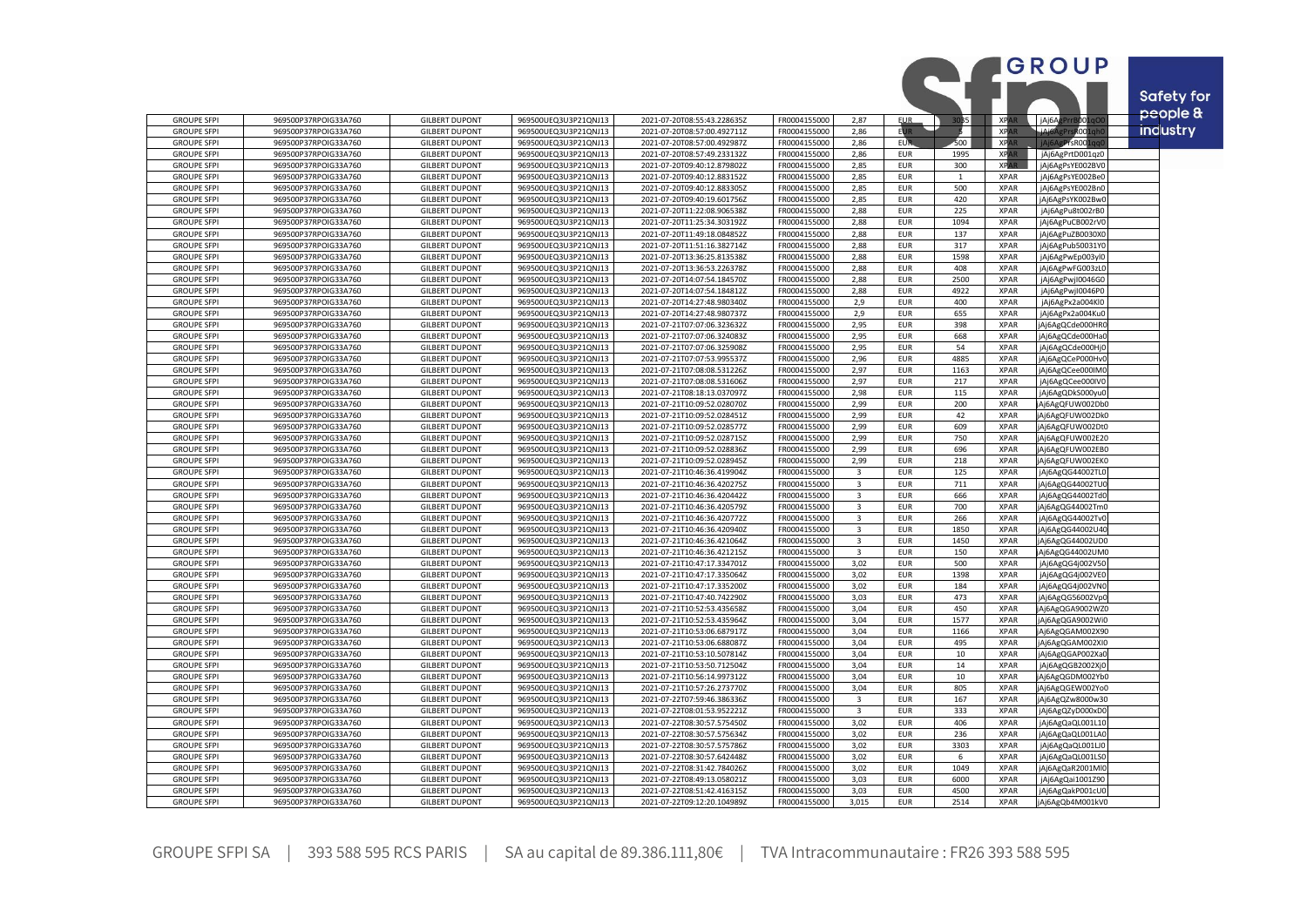|                                          |                                              |                                                |                                              |                                                            |                              |                              |                          |              |                            | GROUP                                |           |
|------------------------------------------|----------------------------------------------|------------------------------------------------|----------------------------------------------|------------------------------------------------------------|------------------------------|------------------------------|--------------------------|--------------|----------------------------|--------------------------------------|-----------|
|                                          |                                              |                                                |                                              |                                                            |                              |                              |                          |              |                            |                                      |           |
|                                          |                                              |                                                |                                              |                                                            |                              |                              |                          |              |                            |                                      | Safety fo |
| <b>GROUPE SFPI</b>                       | 969500P37RPOIG33A760                         | <b>GILBERT DUPONT</b>                          | 969500UEQ3U3P21QNJ13                         | 2021-07-20T08:55:43.228635Z                                | FR0004155000                 | 2,87                         | <b>EUR</b>               | 30B5         | XPA                        | 3001q0<br>jAj6Ag                     | people &  |
| <b>GROUPE SFPI</b>                       | 969500P37RPOIG33A760                         | <b>GILBERT DUPONT</b>                          | 969500UEQ3U3P21QNJ13                         | 2021-07-20T08:57:00.492711Z                                | FR0004155000                 | 2,86                         | <b>EUR</b>               | Б            | <b>XPA</b>                 | LiAi6Ag<br><b>R001gl</b>             | industry  |
| <b>GROUPE SFPI</b><br><b>GROUPE SFPI</b> | 969500P37RPOIG33A760<br>969500P37RPOIG33A760 | <b>GILBERT DUPONT</b><br><b>GILBERT DUPONT</b> | 969500UEQ3U3P21QNJ13<br>969500UEQ3U3P21QNJ13 | 2021-07-20T08:57:00.492987Z<br>2021-07-20T08:57:49.233132Z | FR0004155000<br>FR0004155000 | 2,86<br>2,86                 | <b>EUR</b><br><b>EUR</b> | 500<br>1995  | XRA<br><b>XPA</b>          | PrsR001<br>jAj6AgPrtD001qz0          |           |
| <b>GROUPE SFPI</b>                       | 969500P37RPOIG33A760                         | <b>GILBERT DUPONT</b>                          | 969500UEQ3U3P21QNJ13                         | 2021-07-20T09:40:12.879802Z                                | FR0004155000                 | 2,85                         | <b>EUR</b>               | 300          | <b>XPAR</b>                | jAj6AgPsYE002BV0                     |           |
| <b>GROUPE SFPI</b>                       | 969500P37RPOIG33A760                         | <b>GILBERT DUPONT</b>                          | 969500UEQ3U3P21QNJ13                         | 2021-07-20T09:40:12.883152Z                                | FR0004155000                 | 2,85                         | <b>EUR</b>               | 1            | <b>XPAR</b>                | jAj6AgPsYE002Be0                     |           |
| <b>GROUPE SFPI</b>                       | 969500P37RPOIG33A760                         | <b>GILBERT DUPONT</b>                          | 969500UEQ3U3P21QNJ13                         | 2021-07-20T09:40:12.883305Z                                | FR0004155000                 | 2,85                         | <b>EUR</b>               | 500          | <b>XPAR</b>                | jAj6AgPsYE002Bn0                     |           |
| <b>GROUPE SFPI</b>                       | 969500P37RPOIG33A760                         | <b>GILBERT DUPONT</b>                          | 969500UEQ3U3P21QNJ13                         | 2021-07-20T09:40:19.601756Z                                | FR0004155000                 | 2,85                         | <b>EUR</b>               | 420          | <b>XPAR</b>                | jAj6AgPsYK002BwC                     |           |
| <b>GROUPE SFPI</b><br><b>GROUPE SFPI</b> | 969500P37RPOIG33A760<br>969500P37RPOIG33A760 | <b>GILBERT DUPONT</b><br><b>GILBERT DUPONT</b> | 969500UEQ3U3P21QNJ13<br>969500UEQ3U3P21QNJ13 | 2021-07-20T11:22:08.906538Z<br>2021-07-20T11:25:34.303192Z | FR0004155000<br>FR0004155000 | 2,88<br>2,88                 | <b>EUR</b><br><b>EUR</b> | 225<br>1094  | <b>XPAR</b><br><b>XPAR</b> | jAj6AgPu8t002rB0<br>jAj6AgPuCB002rV0 |           |
| <b>GROUPE SFPI</b>                       | 969500P37RPOIG33A760                         | <b>GILBERT DUPONT</b>                          | 969500UEQ3U3P21QNJ13                         | 2021-07-20T11:49:18.084852Z                                | FR0004155000                 | 2,88                         | <b>EUR</b>               | 137          | <b>XPAR</b>                | jAj6AgPuZB0030X0                     |           |
| <b>GROUPE SFPI</b>                       | 969500P37RPOIG33A760                         | <b>GILBERT DUPONT</b>                          | 969500UEQ3U3P21QNJ13                         | 2021-07-20T11:51:16.382714Z                                | FR0004155000                 | 2,88                         | <b>EUR</b>               | 317          | <b>XPAR</b>                | jAj6AgPub50031YC                     |           |
| <b>GROUPE SFPI</b>                       | 969500P37RPOIG33A760                         | <b>GILBERT DUPONT</b>                          | 969500UEQ3U3P21QNJ13                         | 2021-07-20T13:36:25.813538Z                                | FR0004155000                 | 2,88                         | <b>EUR</b>               | 1598         | <b>XPAR</b>                | jAj6AgPwEp003yl0                     |           |
| <b>GROUPE SFPI</b>                       | 969500P37RPOIG33A760                         | <b>GILBERT DUPONT</b>                          | 969500UEQ3U3P21QNJ13                         | 2021-07-20T13:36:53.226378Z                                | FR0004155000                 | 2,88                         | <b>EUR</b>               | 408          | <b>XPAR</b>                | jAj6AgPwFG003zL0                     |           |
| <b>GROUPE SFPI</b><br><b>GROUPE SFPI</b> | 969500P37RPOIG33A760<br>969500P37RPOIG33A760 | <b>GILBERT DUPONT</b><br><b>GILBERT DUPONT</b> | 969500UEQ3U3P21QNJ13<br>969500UEQ3U3P21QNJ13 | 2021-07-20T14:07:54.184570Z<br>2021-07-20T14:07:54.184812Z | FR0004155000<br>FR0004155000 | 2,88<br>2,88                 | <b>EUR</b><br><b>EUR</b> | 2500<br>4922 | <b>XPAR</b><br><b>XPAR</b> | jAj6AgPwjI0046G0<br>jAj6AgPwjI0046P0 |           |
| <b>GROUPE SFPI</b>                       | 969500P37RPOIG33A760                         | <b>GILBERT DUPONT</b>                          | 969500UEQ3U3P21QNJ13                         | 2021-07-20T14:27:48.980340Z                                | FR0004155000                 | 2.9                          | <b>EUR</b>               | 400          | <b>XPAR</b>                | jAj6AgPx2a004Kl0                     |           |
| <b>GROUPE SFPI</b>                       | 969500P37RPOIG33A760                         | <b>GILBERT DUPONT</b>                          | 969500UEQ3U3P21QNJ13                         | 2021-07-20T14:27:48.980737Z                                | FR0004155000                 | 2,9                          | <b>EUR</b>               | 655          | <b>XPAR</b>                | jAj6AgPx2a004Ku0                     |           |
| <b>GROUPE SFPI</b>                       | 969500P37RPOIG33A760                         | <b>GILBERT DUPONT</b>                          | 969500UEQ3U3P21QNJ13                         | 2021-07-21T07:07:06.323632Z                                | FR0004155000                 | 2.95                         | <b>EUR</b>               | 398          | <b>XPAR</b>                | Aj6AgQCde000HRC                      |           |
| <b>GROUPE SFPI</b>                       | 969500P37RPOIG33A760                         | <b>GILBERT DUPONT</b>                          | 969500UEQ3U3P21QNJ13                         | 2021-07-21T07:07:06.324083Z                                | FR0004155000                 | 2,95                         | <b>EUR</b>               | 668          | <b>XPAR</b>                | jAj6AgQCde000Ha0                     |           |
| <b>GROUPE SFPI</b>                       | 969500P37RPOIG33A760                         | <b>GILBERT DUPONT</b>                          | 969500UEQ3U3P21QNJ13                         | 2021-07-21T07:07:06.325908Z                                | FR0004155000                 | 2,95                         | <b>EUR</b>               | 54           | <b>XPAR</b>                | jAj6AgQCde000Hj0                     |           |
| <b>GROUPE SFPI</b><br><b>GROUPE SFPI</b> | 969500P37RPOIG33A760<br>969500P37RPOIG33A760 | <b>GILBERT DUPONT</b><br><b>GILBERT DUPONT</b> | 969500UEQ3U3P21QNJ13<br>969500UEQ3U3P21QNJ13 | 2021-07-21T07:07:53.995537Z<br>2021-07-21T07:08:08.531226Z | FR0004155000<br>FR0004155000 | 2,96<br>2,97                 | <b>EUR</b><br><b>EUR</b> | 4885<br>1163 | <b>XPAR</b><br><b>XPAR</b> | jAj6AgQCeP000Hv0<br>jAj6AgQCee000IM0 |           |
| <b>GROUPE SFPI</b>                       | 969500P37RPOIG33A760                         | <b>GILBERT DUPONT</b>                          | 969500UEQ3U3P21QNJ13                         | 2021-07-21T07:08:08.531606Z                                | FR0004155000                 | 2,97                         | <b>EUR</b>               | 217          | <b>XPAR</b>                | jAj6AgQCee000IV0                     |           |
| <b>GROUPE SFPI</b>                       | 969500P37RPOIG33A760                         | <b>GILBERT DUPONT</b>                          | 969500UEQ3U3P21QNJ13                         | 2021-07-21T08:18:13.037097Z                                | FR0004155000                 | 2,98                         | <b>EUR</b>               | 115          | <b>XPAR</b>                | jAj6AgQDkS000yu0                     |           |
| <b>GROUPE SFPI</b>                       | 969500P37RPOIG33A760                         | <b>GILBERT DUPONT</b>                          | 969500UEQ3U3P21QNJ13                         | 2021-07-21T10:09:52.028070Z                                | FR0004155000                 | 2,99                         | <b>EUR</b>               | 200          | <b>XPAR</b>                | jAj6AgQFUW002Db0                     |           |
| <b>GROUPE SFPI</b>                       | 969500P37RPOIG33A760                         | <b>GILBERT DUPONT</b>                          | 969500UEQ3U3P21QNJ13                         | 2021-07-21T10:09:52.028451Z                                | FR0004155000                 | 2,99                         | <b>EUR</b>               | 42           | <b>XPAR</b>                | jAj6AgQFUW002Dk0                     |           |
| <b>GROUPE SFPI</b><br><b>GROUPE SFPI</b> | 969500P37RPOIG33A760<br>969500P37RPOIG33A760 | <b>GILBERT DUPONT</b><br><b>GILBERT DUPONT</b> | 969500UEQ3U3P21QNJ13<br>969500UEQ3U3P21QNJ13 | 2021-07-21T10:09:52.028577Z<br>2021-07-21T10:09:52.028715Z | FR0004155000<br>FR0004155000 | 2,99<br>2.99                 | <b>EUR</b><br><b>EUR</b> | 609<br>750   | <b>XPAR</b><br><b>XPAR</b> | jAj6AgQFUW002Dt0<br>jAj6AgQFUW002E20 |           |
| <b>GROUPE SFPI</b>                       | 969500P37RPOIG33A760                         | <b>GILBERT DUPONT</b>                          | 969500UEQ3U3P21QNJ13                         | 2021-07-21T10:09:52.028836Z                                | FR0004155000                 | 2,99                         | <b>EUR</b>               | 696          | <b>XPAR</b>                | jAj6AgQFUW002EB0                     |           |
| <b>GROUPE SFPI</b>                       | 969500P37RPOIG33A760                         | <b>GILBERT DUPONT</b>                          | 969500UEQ3U3P21QNJ13                         | 2021-07-21T10:09:52.028945Z                                | FR0004155000                 | 2,99                         | <b>EUR</b>               | 218          | <b>XPAR</b>                | jAj6AgQFUW002EK0                     |           |
| <b>GROUPE SFPI</b>                       | 969500P37RPOIG33A760                         | <b>GILBERT DUPONT</b>                          | 969500UEQ3U3P21QNJ13                         | 2021-07-21T10:46:36.419904Z                                | FR0004155000                 | $\overline{3}$               | <b>EUR</b>               | 125          | <b>XPAR</b>                | jAj6AgQG44002TLC                     |           |
| <b>GROUPE SFPI</b>                       | 969500P37RPOIG33A760                         | <b>GILBERT DUPONT</b>                          | 969500UEQ3U3P21QNJ13                         | 2021-07-21T10:46:36.420275Z                                | FR0004155000                 | 3                            | <b>EUR</b>               | 711          | <b>XPAR</b>                | jAj6AgQG44002TU                      |           |
| <b>GROUPE SFPI</b><br><b>GROUPE SFPI</b> | 969500P37RPOIG33A760<br>969500P37RPOIG33A760 | <b>GILBERT DUPONT</b><br><b>GILBERT DUPONT</b> | 969500UEQ3U3P21QNJ13<br>969500UEQ3U3P21QNJ13 | 2021-07-21T10:46:36.420442Z                                | FR0004155000<br>FR0004155000 | 3                            | <b>EUR</b><br><b>EUR</b> | 666<br>700   | <b>XPAR</b><br><b>XPAR</b> | jAj6AgQG44002Td0<br>jAj6AgQG44002Tm0 |           |
| <b>GROUPE SFPI</b>                       | 969500P37RPOIG33A760                         | <b>GILBERT DUPONT</b>                          | 969500UEQ3U3P21QNJ13                         | 2021-07-21T10:46:36.420579Z<br>2021-07-21T10:46:36.420772Z | FR0004155000                 | 3<br>$\overline{\mathbf{a}}$ | <b>EUR</b>               | 266          | <b>XPAR</b>                | jAj6AgQG44002Tv0                     |           |
| <b>GROUPE SFPI</b>                       | 969500P37RPOIG33A760                         | <b>GILBERT DUPONT</b>                          | 969500UEQ3U3P21QNJ13                         | 2021-07-21T10:46:36.420940Z                                | FR0004155000                 | $\overline{3}$               | <b>EUR</b>               | 1850         | <b>XPAR</b>                | jAj6AgQG44002U40                     |           |
| <b>GROUPE SFPI</b>                       | 969500P37RPOIG33A760                         | <b>GILBERT DUPONT</b>                          | 969500UEQ3U3P21QNJ13                         | 2021-07-21T10:46:36.421064Z                                | FR0004155000                 | $\overline{3}$               | <b>EUR</b>               | 1450         | <b>XPAR</b>                | jAj6AgQG44002UD0                     |           |
| <b>GROUPE SFPI</b>                       | 969500P37RPOIG33A760                         | <b>GILBERT DUPONT</b>                          | 969500UEQ3U3P21QNJ13                         | 2021-07-21T10:46:36.421215Z                                | FR0004155000                 | $\overline{3}$               | <b>EUR</b>               | 150          | <b>XPAR</b>                | jAj6AgQG44002UM0                     |           |
| <b>GROUPE SFPI</b>                       | 969500P37RPOIG33A760                         | <b>GILBERT DUPONT</b>                          | 969500UEQ3U3P21QNJ13                         | 2021-07-21T10:47:17.334701Z                                | FR0004155000                 | 3,02                         | <b>EUR</b>               | 500          | <b>XPAR</b>                | jAj6AgQG4j002V50                     |           |
| <b>GROUPE SFPI</b><br><b>GROUPE SFPI</b> | 969500P37RPOIG33A760<br>969500P37RPOIG33A760 | <b>GILBERT DUPONT</b><br><b>GILBERT DUPONT</b> | 969500UEQ3U3P21QNJ13<br>969500UEQ3U3P21QNJ13 | 2021-07-21T10:47:17.335064Z<br>2021-07-21T10:47:17.335200Z | FR0004155000<br>FR0004155000 | 3,02<br>3,02                 | <b>EUR</b><br><b>EUR</b> | 1398<br>184  | <b>XPAR</b><br><b>XPAR</b> | jAj6AgQG4j002VE0<br>jAj6AgQG4j002VN0 |           |
| <b>GROUPE SFPI</b>                       | 969500P37RPOIG33A760                         | <b>GILBERT DUPONT</b>                          | 969500UEQ3U3P21QNJ13                         | 2021-07-21T10:47:40.742290Z                                | FR0004155000                 | 3,03                         | <b>EUR</b>               | 473          | <b>XPAR</b>                | jAj6AgQG56002Vp0                     |           |
| <b>GROUPE SFPI</b>                       | 969500P37RPOIG33A760                         | <b>GILBERT DUPONT</b>                          | 969500UEQ3U3P21QNJ13                         | 2021-07-21T10:52:53.435658Z                                | FR0004155000                 | 3,04                         | <b>EUR</b>               | 450          | <b>XPAR</b>                | jAj6AgQGA9002WZ0                     |           |
| <b>GROUPE SFPI</b>                       | 969500P37RPOIG33A760                         | <b>GILBERT DUPONT</b>                          | 969500UEQ3U3P21QNJ13                         | 2021-07-21T10:52:53.435964Z                                | FR0004155000                 | 3,04                         | <b>EUR</b>               | 1577         | <b>XPAR</b>                | jAj6AgQGA9002Wi0                     |           |
| <b>GROUPE SFPI</b>                       | 969500P37RPOIG33A760                         | <b>GILBERT DUPONT</b>                          | 969500UEQ3U3P21QNJ13                         | 2021-07-21T10:53:06.687917Z                                | FR0004155000                 | 3.04                         | <b>EUR</b>               | 1166         | <b>XPAR</b>                | jAj6AgQGAM002X90                     |           |
| <b>GROUPE SFPI</b><br><b>GROUPE SFPI</b> | 969500P37RPOIG33A760<br>969500P37RPOIG33A760 | <b>GILBERT DUPONT</b><br><b>GILBERT DUPONT</b> | 969500UEQ3U3P21QNJ13<br>969500UEQ3U3P21QNJ13 | 2021-07-21T10:53:06.688087Z<br>2021-07-21T10:53:10.507814Z | FR0004155000<br>FR0004155000 | 3,04<br>3,04                 | <b>EUR</b><br><b>EUR</b> | 495<br>10    | <b>XPAR</b><br><b>XPAR</b> | jAj6AgQGAM002XI0<br>jAj6AgQGAP002Xa0 |           |
| <b>GROUPE SFPI</b>                       | 969500P37RPOIG33A760                         | <b>GILBERT DUPONT</b>                          | 969500UEQ3U3P21QNJ13                         | 2021-07-21T10:53:50.712504Z                                | FR0004155000                 | 3,04                         | <b>EUR</b>               | 14           | <b>XPAR</b>                | jAj6AgQGB2002Xj0                     |           |
| <b>GROUPE SFPI</b>                       | 969500P37RPOIG33A760                         | <b>GILBERT DUPONT</b>                          | 969500UEQ3U3P21QNJ13                         | 2021-07-21T10:56:14.997312Z                                | FR0004155000                 | 3,04                         | <b>EUR</b>               | 10           | <b>XPAR</b>                | jAj6AgQGDM002Yb0                     |           |
| <b>GROUPE SFPI</b>                       | 969500P37RPOIG33A760                         | <b>GILBERT DUPONT</b>                          | 969500UEQ3U3P21QNJ13                         | 2021-07-21T10:57:26.273770Z                                | FR0004155000                 | 3.04                         | <b>EUR</b>               | 805          | <b>XPAR</b>                | jAj6AgQGEW002Yo0                     |           |
| <b>GROUPE SFPI</b>                       | 969500P37RPOIG33A760                         | <b>GILBERT DUPONT</b>                          | 969500UEQ3U3P21QNJ13                         | 2021-07-22T07:59:46.386336Z                                | FR0004155000                 | 3                            | <b>EUR</b>               | 167          | <b>XPAR</b>                | jAj6AgQZw8000w30                     |           |
| <b>GROUPE SFPI</b><br><b>GROUPE SFPI</b> | 969500P37RPOIG33A760<br>969500P37RPOIG33A760 | <b>GILBERT DUPONT</b><br><b>GILBERT DUPONT</b> | 969500UEQ3U3P21QNJ13<br>969500UEQ3U3P21QNJ13 | 2021-07-22T08:01:53.952221Z<br>2021-07-22T08:30:57.575450Z | FR0004155000<br>FR0004155000 | 3<br>3,02                    | <b>EUR</b><br><b>EUR</b> | 333<br>406   | <b>XPAR</b><br><b>XPAR</b> | jAj6AgQZyD000xD0<br>jAj6AgQaQL001L10 |           |
| <b>GROUPE SFPI</b>                       | 969500P37RPOIG33A760                         | <b>GILBERT DUPONT</b>                          | 969500UEQ3U3P21QNJ13                         | 2021-07-22T08:30:57.575634Z                                | FR0004155000                 | 3,02                         | <b>EUR</b>               | 236          | <b>XPAR</b>                | jAj6AgQaQL001LAC                     |           |
| <b>GROUPE SFPI</b>                       | 969500P37RPOIG33A760                         | <b>GILBERT DUPONT</b>                          | 969500UEQ3U3P21QNJ13                         | 2021-07-22T08:30:57.575786Z                                | FR0004155000                 | 3.02                         | <b>EUR</b>               | 3303         | <b>XPAR</b>                | jAj6AgQaQL001LJ0                     |           |
| <b>GROUPE SFPI</b>                       | 969500P37RPOIG33A760                         | <b>GILBERT DUPONT</b>                          | 969500UEQ3U3P21QNJ13                         | 2021-07-22T08:30:57.642448Z                                | FR0004155000                 | 3,02                         | <b>EUR</b>               | 6            | <b>XPAR</b>                | jAj6AgQaQL001LS0                     |           |
| <b>GROUPE SFPI</b>                       | 969500P37RPOIG33A760                         | <b>GILBERT DUPONT</b>                          | 969500UEQ3U3P21QNJ13                         | 2021-07-22T08:31:42.784026Z                                | FR0004155000                 | 3,02                         | <b>EUR</b>               | 1049         | <b>XPAR</b>                | jAj6AgQaR2001Ml0                     |           |
| <b>GROUPE SFPI</b>                       | 969500P37RPOIG33A760                         | <b>GILBERT DUPONT</b>                          | 969500UEQ3U3P21QNJ13                         | 2021-07-22T08:49:13.058021Z                                | FR0004155000                 | 3,03                         | <b>EUR</b>               | 6000         | <b>XPAR</b>                | jAj6AgQai1001Z90                     |           |
| <b>GROUPE SFPI</b><br><b>GROUPE SFPI</b> | 969500P37RPOIG33A760<br>969500P37RPOIG33A760 | <b>GILBERT DUPONT</b><br><b>GILBERT DUPONT</b> | 969500UEQ3U3P21QNJ13<br>969500UEQ3U3P21QNJ13 | 2021-07-22T08:51:42.416315Z<br>2021-07-22T09:12:20.104989Z | FR0004155000<br>FR0004155000 | 3,03<br>3.015                | <b>EUR</b><br><b>EUR</b> | 4500<br>2514 | <b>XPAR</b><br><b>XPAR</b> | jAj6AgQakP001cU0<br>jAj6AgQb4M001kV0 |           |
|                                          |                                              |                                                |                                              |                                                            |                              |                              |                          |              |                            |                                      |           |